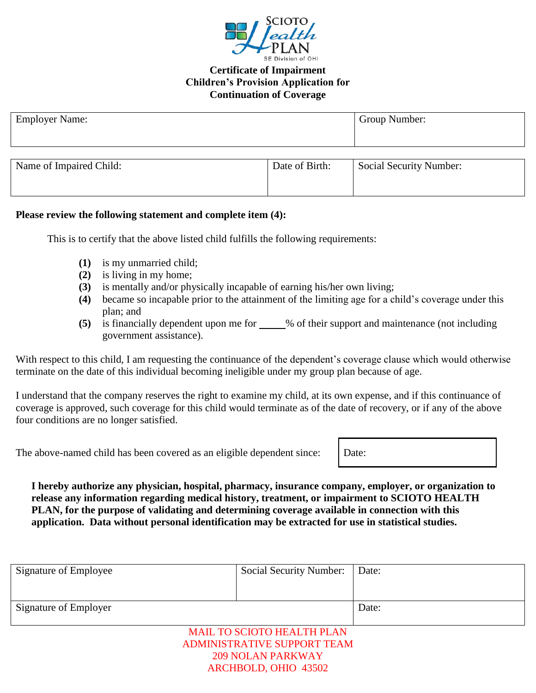

## **Certificate of Impairment Children's Provision Application for Continuation of Coverage**

| <b>Employer Name:</b>   |                | Group Number:                  |  |  |
|-------------------------|----------------|--------------------------------|--|--|
|                         |                |                                |  |  |
|                         |                |                                |  |  |
| Name of Impaired Child: | Date of Birth: | <b>Social Security Number:</b> |  |  |
|                         |                |                                |  |  |
|                         |                |                                |  |  |

## **Please review the following statement and complete item (4):**

This is to certify that the above listed child fulfills the following requirements:

- **(1)** is my unmarried child;
- **(2)** is living in my home;
- **(3)** is mentally and/or physically incapable of earning his/her own living;
- **(4)** became so incapable prior to the attainment of the limiting age for a child's coverage under this plan; and
- **(5)** is financially dependent upon me for \_\_\_\_\_% of their support and maintenance (not including government assistance).

With respect to this child, I am requesting the continuance of the dependent's coverage clause which would otherwise terminate on the date of this individual becoming ineligible under my group plan because of age.

I understand that the company reserves the right to examine my child, at its own expense, and if this continuance of coverage is approved, such coverage for this child would terminate as of the date of recovery, or if any of the above four conditions are no longer satisfied.

The above-named child has been covered as an eligible dependent since: Date:

**I hereby authorize any physician, hospital, pharmacy, insurance company, employer, or organization to release any information regarding medical history, treatment, or impairment to SCIOTO HEALTH PLAN, for the purpose of validating and determining coverage available in connection with this application. Data without personal identification may be extracted for use in statistical studies.**

| Signature of Employee | <b>Social Security Number:</b>                                          | Date: |
|-----------------------|-------------------------------------------------------------------------|-------|
|                       |                                                                         |       |
| Signature of Employer |                                                                         | Date: |
|                       | <b>MAIL TO SCIOTO HEALTH PLAN</b><br><b>ADMINISTRATIVE SUPPORT TEAM</b> |       |

209 NOLAN PARKWAY ARCHBOLD, OHIO 43502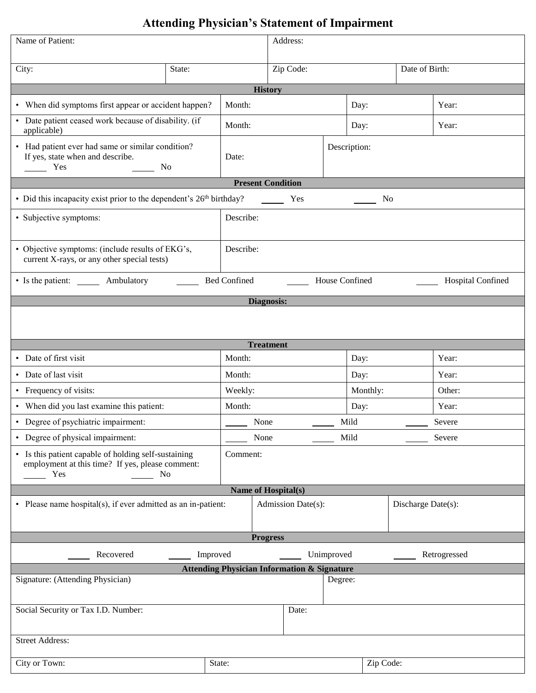## **Attending Physician's Statement of Impairment**

| Name of Patient:                                                                                                                              |                                                      | Address:            |                                            |         |                    |                |              |  |  |  |
|-----------------------------------------------------------------------------------------------------------------------------------------------|------------------------------------------------------|---------------------|--------------------------------------------|---------|--------------------|----------------|--------------|--|--|--|
| City:                                                                                                                                         | State:                                               |                     | Zip Code:                                  |         |                    | Date of Birth: |              |  |  |  |
|                                                                                                                                               |                                                      |                     |                                            |         |                    |                |              |  |  |  |
| <b>History</b>                                                                                                                                |                                                      |                     |                                            |         |                    |                |              |  |  |  |
|                                                                                                                                               | • When did symptoms first appear or accident happen? |                     | Month:                                     |         | Day:               |                | Year:        |  |  |  |
| • Date patient ceased work because of disability. (if<br>applicable)                                                                          |                                                      | Month:              |                                            |         | Day:               |                | Year:        |  |  |  |
| • Had patient ever had same or similar condition?<br>If yes, state when and describe.<br>Yes<br><b>No</b>                                     |                                                      | Date:               |                                            |         | Description:       |                |              |  |  |  |
|                                                                                                                                               |                                                      |                     | <b>Present Condition</b>                   |         |                    |                |              |  |  |  |
| • Did this incapacity exist prior to the dependent's 26 <sup>th</sup> birthday?                                                               |                                                      |                     | Yes                                        |         | N <sub>0</sub>     |                |              |  |  |  |
| · Subjective symptoms:                                                                                                                        |                                                      | Describe:           |                                            |         |                    |                |              |  |  |  |
| • Objective symptoms: (include results of EKG's,<br>current X-rays, or any other special tests)                                               |                                                      | Describe:           |                                            |         |                    |                |              |  |  |  |
| • Is the patient: ________ Ambulatory                                                                                                         |                                                      | <b>Bed Confined</b> | House Confined<br><b>Hospital Confined</b> |         |                    |                |              |  |  |  |
|                                                                                                                                               |                                                      |                     | <b>Diagnosis:</b>                          |         |                    |                |              |  |  |  |
|                                                                                                                                               |                                                      |                     |                                            |         |                    |                |              |  |  |  |
|                                                                                                                                               |                                                      |                     | <b>Treatment</b>                           |         |                    |                |              |  |  |  |
| • Date of first visit                                                                                                                         |                                                      | Month:              |                                            |         | Day:               |                | Year:        |  |  |  |
| • Date of last visit                                                                                                                          |                                                      | Month:              |                                            |         | Day:               |                | Year:        |  |  |  |
| • Frequency of visits:                                                                                                                        |                                                      | Weekly:             |                                            |         | Monthly:           |                | Other:       |  |  |  |
| • When did you last examine this patient:                                                                                                     |                                                      | Month:              |                                            |         | Day:               | Year:          |              |  |  |  |
| • Degree of psychiatric impairment:                                                                                                           |                                                      | None                |                                            |         | Mild               |                | Severe       |  |  |  |
| • Degree of physical impairment:                                                                                                              |                                                      |                     | Mild<br>None                               |         |                    |                | Severe       |  |  |  |
| • Is this patient capable of holding self-sustaining<br>Comment:<br>employment at this time? If yes, please comment:<br>Yes<br>N <sub>0</sub> |                                                      |                     |                                            |         |                    |                |              |  |  |  |
| Name of Hospital(s)                                                                                                                           |                                                      |                     |                                            |         |                    |                |              |  |  |  |
| • Please name hospital(s), if ever admitted as an in-patient:                                                                                 |                                                      | Admission Date(s):  |                                            |         | Discharge Date(s): |                |              |  |  |  |
| <b>Progress</b>                                                                                                                               |                                                      |                     |                                            |         |                    |                |              |  |  |  |
| Recovered<br>Improved                                                                                                                         |                                                      |                     | Unimproved                                 |         |                    |                | Retrogressed |  |  |  |
| <b>Attending Physician Information &amp; Signature</b>                                                                                        |                                                      |                     |                                            |         |                    |                |              |  |  |  |
| Signature: (Attending Physician)                                                                                                              |                                                      |                     |                                            | Degree: |                    |                |              |  |  |  |
| Social Security or Tax I.D. Number:                                                                                                           |                                                      |                     | Date:                                      |         |                    |                |              |  |  |  |
| <b>Street Address:</b>                                                                                                                        |                                                      |                     |                                            |         |                    |                |              |  |  |  |
| City or Town:                                                                                                                                 | State:                                               |                     |                                            |         | Zip Code:          |                |              |  |  |  |